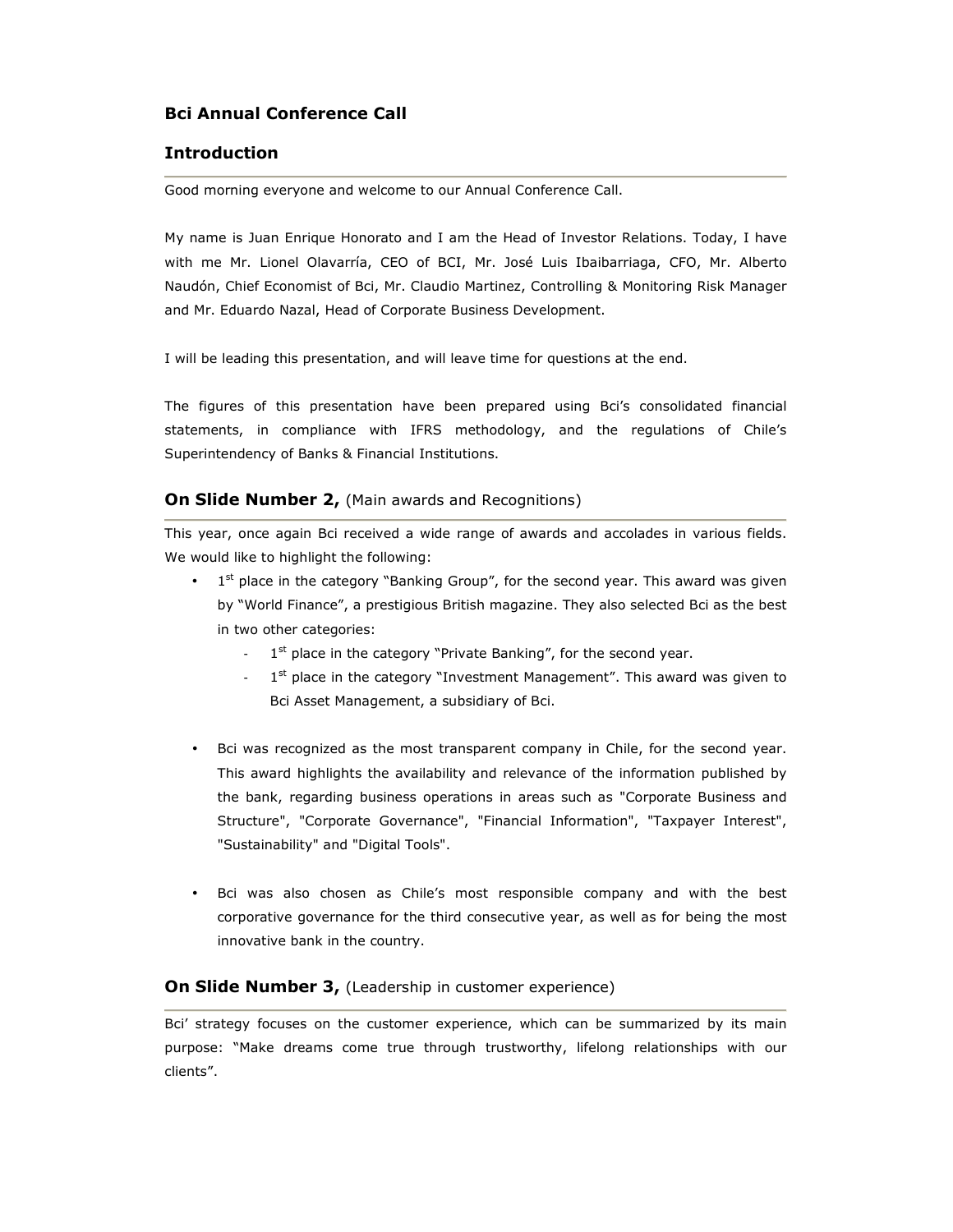# **Bci Annual Conference Call**

## **Introduction**

Good morning everyone and welcome to our Annual Conference Call.

My name is Juan Enrique Honorato and I am the Head of Investor Relations. Today, I have with me Mr. Lionel Olavarría, CEO of BCI, Mr. José Luis Ibaibarriaga, CFO, Mr. Alberto Naudón, Chief Economist of Bci, Mr. Claudio Martinez, Controlling & Monitoring Risk Manager and Mr. Eduardo Nazal, Head of Corporate Business Development.

I will be leading this presentation, and will leave time for questions at the end.

The figures of this presentation have been prepared using Bci's consolidated financial statements, in compliance with IFRS methodology, and the regulations of Chile's Superintendency of Banks & Financial Institutions.

### **On Slide Number 2, (Main awards and Recognitions)**

This year, once again Bci received a wide range of awards and accolades in various fields. We would like to highlight the following:

- $\bullet$  1<sup>st</sup> place in the category "Banking Group", for the second year. This award was given by "World Finance", a prestigious British magazine. They also selected Bci as the best in two other categories:
	- 1  $1<sup>st</sup>$  place in the category "Private Banking", for the second year.
	- 1<sup>st</sup> place in the category "Investment Management". This award was given to Bci Asset Management, a subsidiary of Bci.
- Bci was recognized as the most transparent company in Chile, for the second year. This award highlights the availability and relevance of the information published by the bank, regarding business operations in areas such as "Corporate Business and Structure", "Corporate Governance", "Financial Information", "Taxpayer Interest", "Sustainability" and "Digital Tools".
- Bci was also chosen as Chile's most responsible company and with the best corporative governance for the third consecutive year, as well as for being the most innovative bank in the country.

#### **On Slide Number 3, (Leadership in customer experience)**

Bci' strategy focuses on the customer experience, which can be summarized by its main purpose: "Make dreams come true through trustworthy, lifelong relationships with our clients".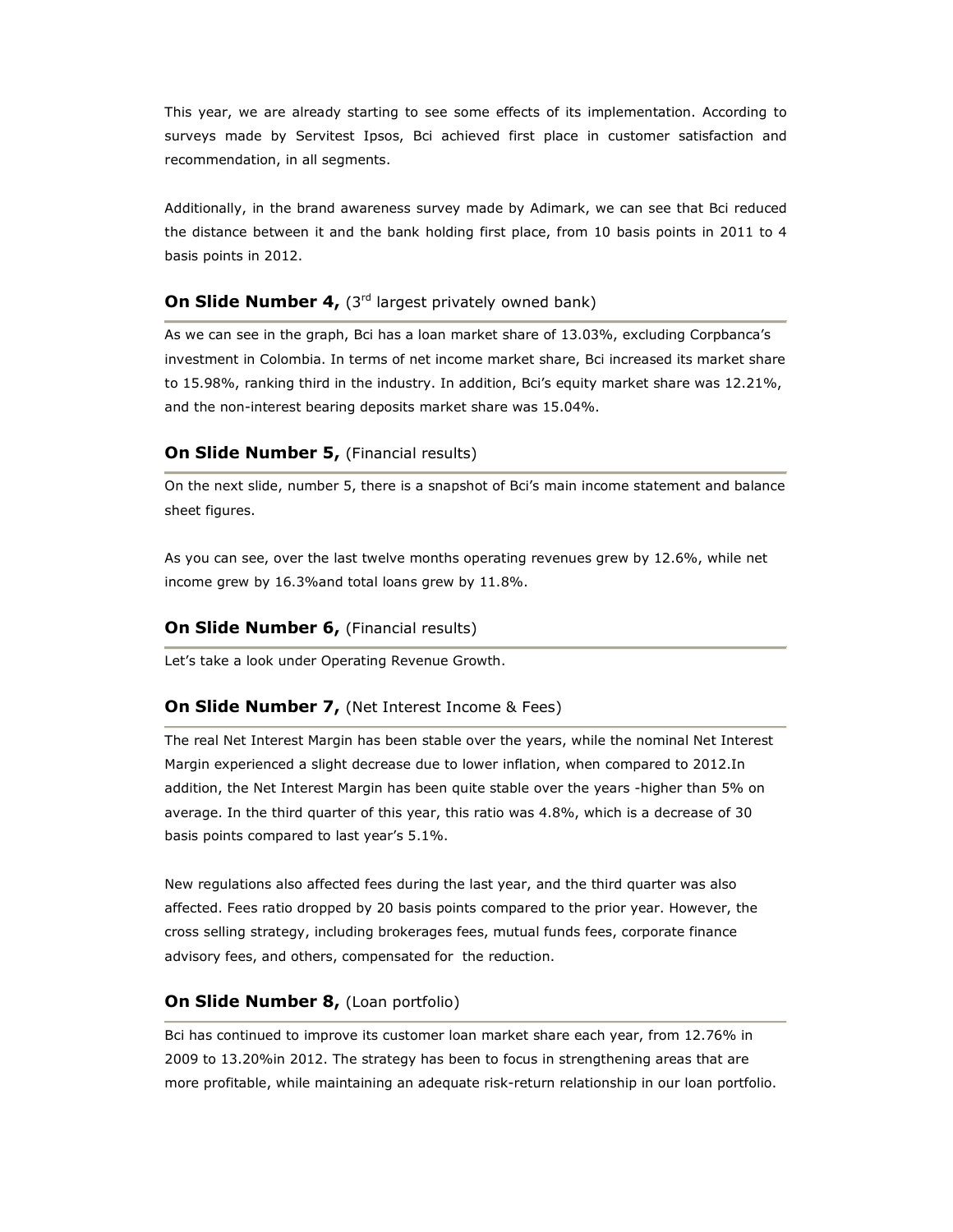This year, we are already starting to see some effects of its implementation. According to surveys made by Servitest Ipsos, Bci achieved first place in customer satisfaction and recommendation, in all segments.

Additionally, in the brand awareness survey made by Adimark, we can see that Bci reduced the distance between it and the bank holding first place, from 10 basis points in 2011 to 4 basis points in 2012.

# **On Slide Number 4, (3rd largest privately owned bank)**

As we can see in the graph, Bci has a loan market share of 13.03%, excluding Corpbanca's investment in Colombia. In terms of net income market share, Bci increased its market share to 15.98%, ranking third in the industry. In addition, Bci's equity market share was 12.21%, and the non-interest bearing deposits market share was 15.04%.

## **On Slide Number 5, (Financial results)**

On the next slide, number 5, there is a snapshot of Bci's main income statement and balance sheet figures.

As you can see, over the last twelve months operating revenues grew by 12.6%, while net income grew by 16.3%and total loans grew by 11.8%.

### **On Slide Number 6, (Financial results)**

Let's take a look under Operating Revenue Growth.

## **On Slide Number 7, (Net Interest Income & Fees)**

The real Net Interest Margin has been stable over the years, while the nominal Net Interest Margin experienced a slight decrease due to lower inflation, when compared to 2012.In addition, the Net Interest Margin has been quite stable over the years -higher than 5% on average. In the third quarter of this year, this ratio was 4.8%, which is a decrease of 30 basis points compared to last year's 5.1%.

New regulations also affected fees during the last year, and the third quarter was also affected. Fees ratio dropped by 20 basis points compared to the prior year. However, the cross selling strategy, including brokerages fees, mutual funds fees, corporate finance advisory fees, and others, compensated for the reduction.

## **On Slide Number 8, (Loan portfolio)**

Bci has continued to improve its customer loan market share each year, from 12.76% in 2009 to 13.20%in 2012. The strategy has been to focus in strengthening areas that are more profitable, while maintaining an adequate risk-return relationship in our loan portfolio.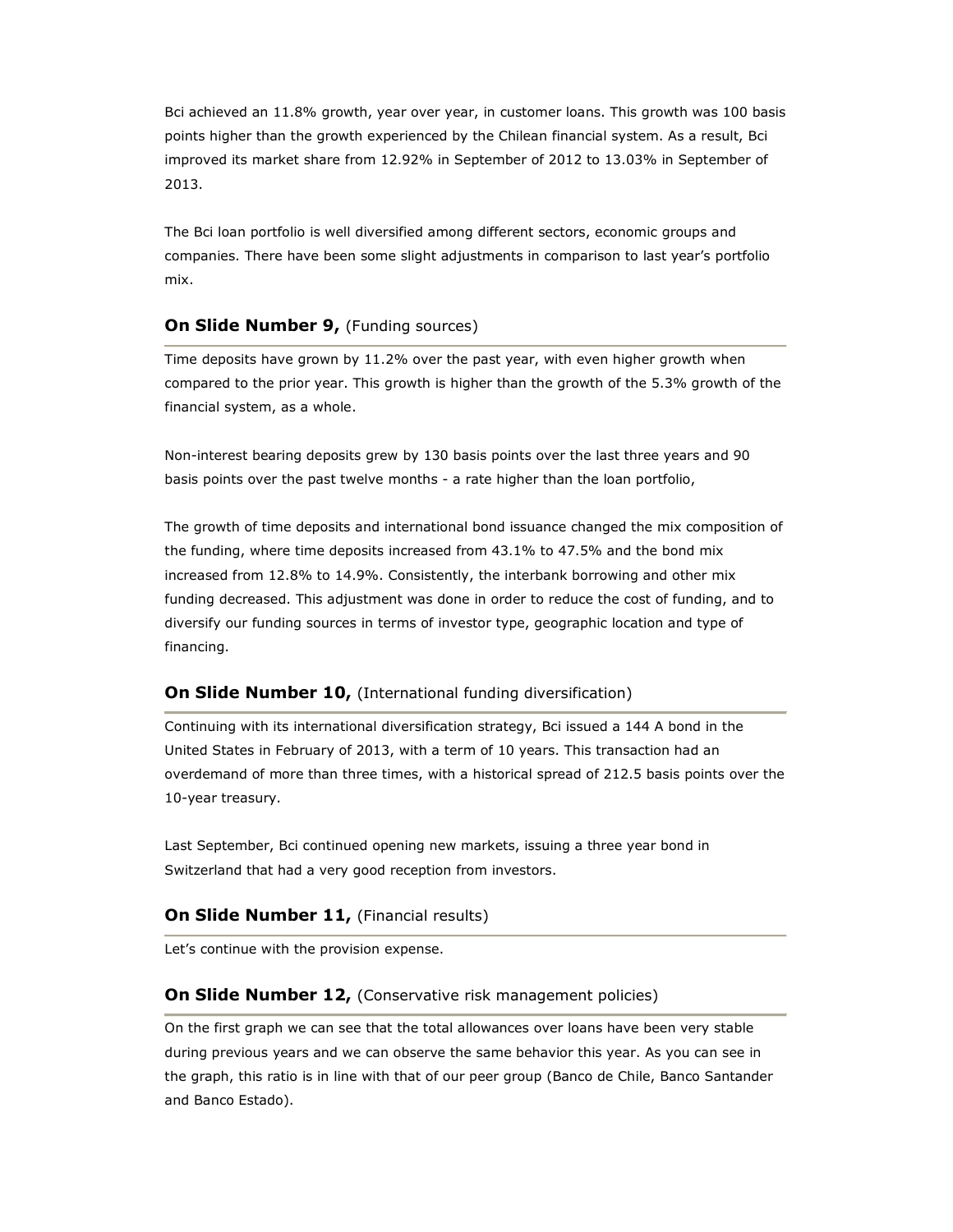Bci achieved an 11.8% growth, year over year, in customer loans. This growth was 100 basis points higher than the growth experienced by the Chilean financial system. As a result, Bci improved its market share from 12.92% in September of 2012 to 13.03% in September of 2013.

The Bci loan portfolio is well diversified among different sectors, economic groups and companies. There have been some slight adjustments in comparison to last year's portfolio mix.

## **On Slide Number 9, (Funding sources)**

Time deposits have grown by 11.2% over the past year, with even higher growth when compared to the prior year. This growth is higher than the growth of the 5.3% growth of the financial system, as a whole.

Non-interest bearing deposits grew by 130 basis points over the last three years and 90 basis points over the past twelve months - a rate higher than the loan portfolio,

The growth of time deposits and international bond issuance changed the mix composition of the funding, where time deposits increased from 43.1% to 47.5% and the bond mix increased from 12.8% to 14.9%. Consistently, the interbank borrowing and other mix funding decreased. This adjustment was done in order to reduce the cost of funding, and to diversify our funding sources in terms of investor type, geographic location and type of financing.

## **On Slide Number 10, (International funding diversification)**

Continuing with its international diversification strategy, Bci issued a 144 A bond in the United States in February of 2013, with a term of 10 years. This transaction had an overdemand of more than three times, with a historical spread of 212.5 basis points over the 10-year treasury.

Last September, Bci continued opening new markets, issuing a three year bond in Switzerland that had a very good reception from investors.

### **On Slide Number 11, (Financial results)**

Let's continue with the provision expense.

## **On Slide Number 12, (Conservative risk management policies)**

On the first graph we can see that the total allowances over loans have been very stable during previous years and we can observe the same behavior this year. As you can see in the graph, this ratio is in line with that of our peer group (Banco de Chile, Banco Santander and Banco Estado).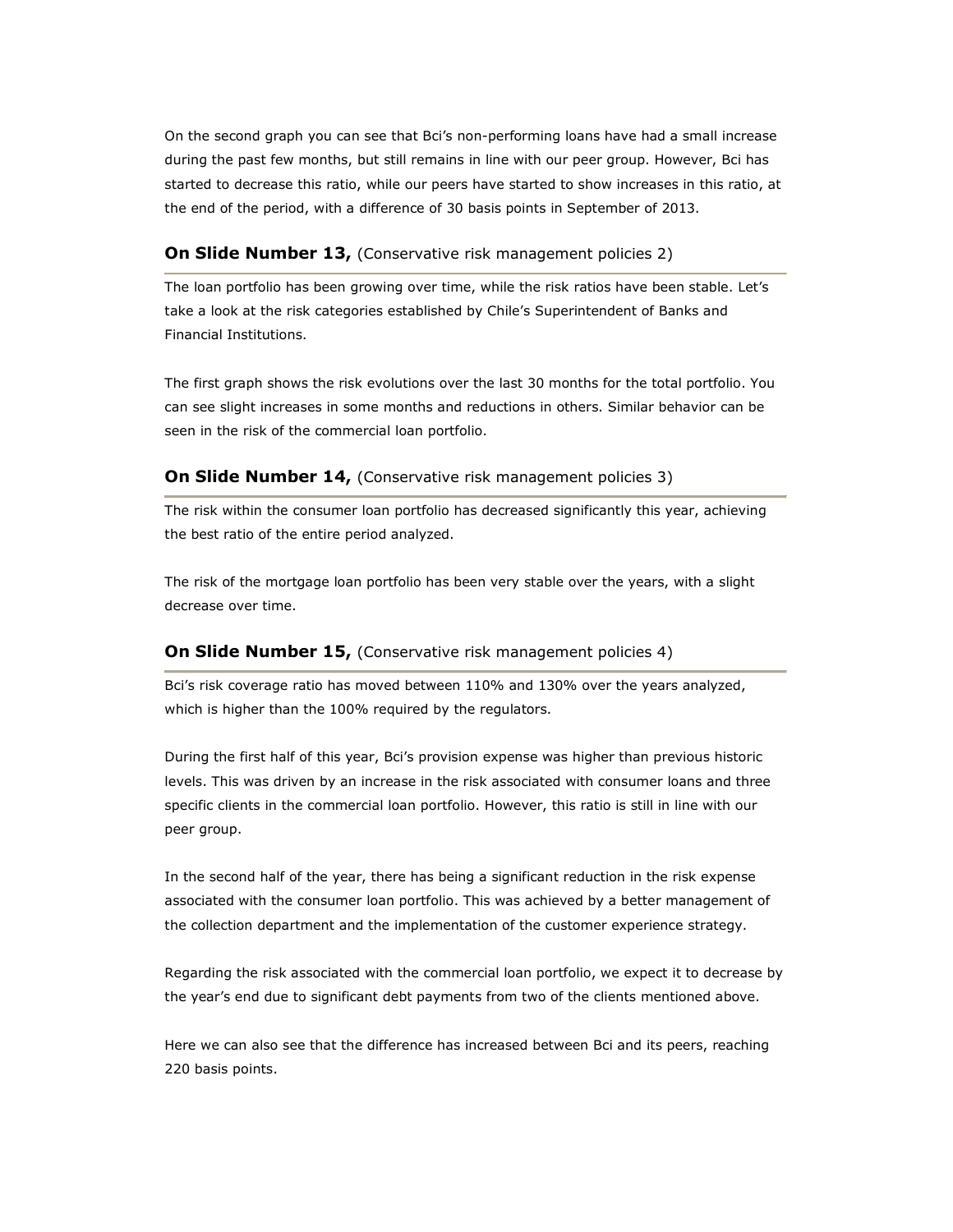On the second graph you can see that Bci's non-performing loans have had a small increase during the past few months, but still remains in line with our peer group. However, Bci has started to decrease this ratio, while our peers have started to show increases in this ratio, at the end of the period, with a difference of 30 basis points in September of 2013.

### **On Slide Number 13, (Conservative risk management policies 2)**

The loan portfolio has been growing over time, while the risk ratios have been stable. Let's take a look at the risk categories established by Chile's Superintendent of Banks and Financial Institutions.

The first graph shows the risk evolutions over the last 30 months for the total portfolio. You can see slight increases in some months and reductions in others. Similar behavior can be seen in the risk of the commercial loan portfolio.

#### **On Slide Number 14, (Conservative risk management policies 3)**

The risk within the consumer loan portfolio has decreased significantly this year, achieving the best ratio of the entire period analyzed.

The risk of the mortgage loan portfolio has been very stable over the years, with a slight decrease over time.

#### **On Slide Number 15, (Conservative risk management policies 4)**

Bci's risk coverage ratio has moved between 110% and 130% over the years analyzed, which is higher than the 100% required by the regulators.

During the first half of this year, Bci's provision expense was higher than previous historic levels. This was driven by an increase in the risk associated with consumer loans and three specific clients in the commercial loan portfolio. However, this ratio is still in line with our peer group.

In the second half of the year, there has being a significant reduction in the risk expense associated with the consumer loan portfolio. This was achieved by a better management of the collection department and the implementation of the customer experience strategy.

Regarding the risk associated with the commercial loan portfolio, we expect it to decrease by the year's end due to significant debt payments from two of the clients mentioned above.

Here we can also see that the difference has increased between Bci and its peers, reaching 220 basis points.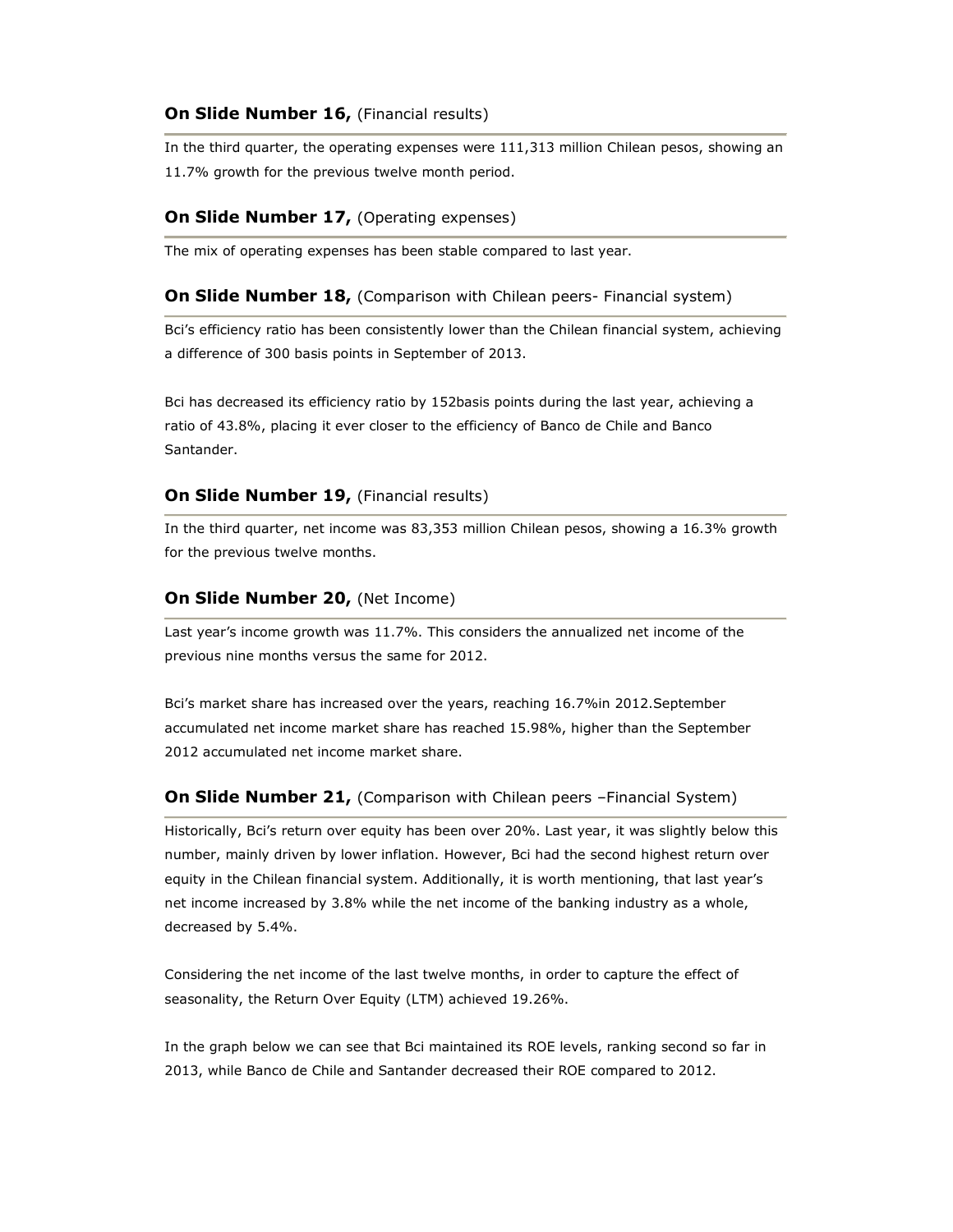## **On Slide Number 16, (Financial results)**

In the third quarter, the operating expenses were 111,313 million Chilean pesos, showing an 11.7% growth for the previous twelve month period.

## **On Slide Number 17, (Operating expenses)**

The mix of operating expenses has been stable compared to last year.

#### **On Slide Number 18, (Comparison with Chilean peers- Financial system)**

Bci's efficiency ratio has been consistently lower than the Chilean financial system, achieving a difference of 300 basis points in September of 2013.

Bci has decreased its efficiency ratio by 152basis points during the last year, achieving a ratio of 43.8%, placing it ever closer to the efficiency of Banco de Chile and Banco Santander.

### **On Slide Number 19, (Financial results)**

In the third quarter, net income was 83,353 million Chilean pesos, showing a 16.3% growth for the previous twelve months.

#### **On Slide Number 20, (Net Income)**

Last year's income growth was 11.7%. This considers the annualized net income of the previous nine months versus the same for 2012.

Bci's market share has increased over the years, reaching 16.7%in 2012.September accumulated net income market share has reached 15.98%, higher than the September 2012 accumulated net income market share.

#### **On Slide Number 21, (Comparison with Chilean peers -Financial System)**

Historically, Bci's return over equity has been over 20%. Last year, it was slightly below this number, mainly driven by lower inflation. However, Bci had the second highest return over equity in the Chilean financial system. Additionally, it is worth mentioning, that last year's net income increased by 3.8% while the net income of the banking industry as a whole, decreased by 5.4%.

Considering the net income of the last twelve months, in order to capture the effect of seasonality, the Return Over Equity (LTM) achieved 19.26%.

In the graph below we can see that Bci maintained its ROE levels, ranking second so far in 2013, while Banco de Chile and Santander decreased their ROE compared to 2012.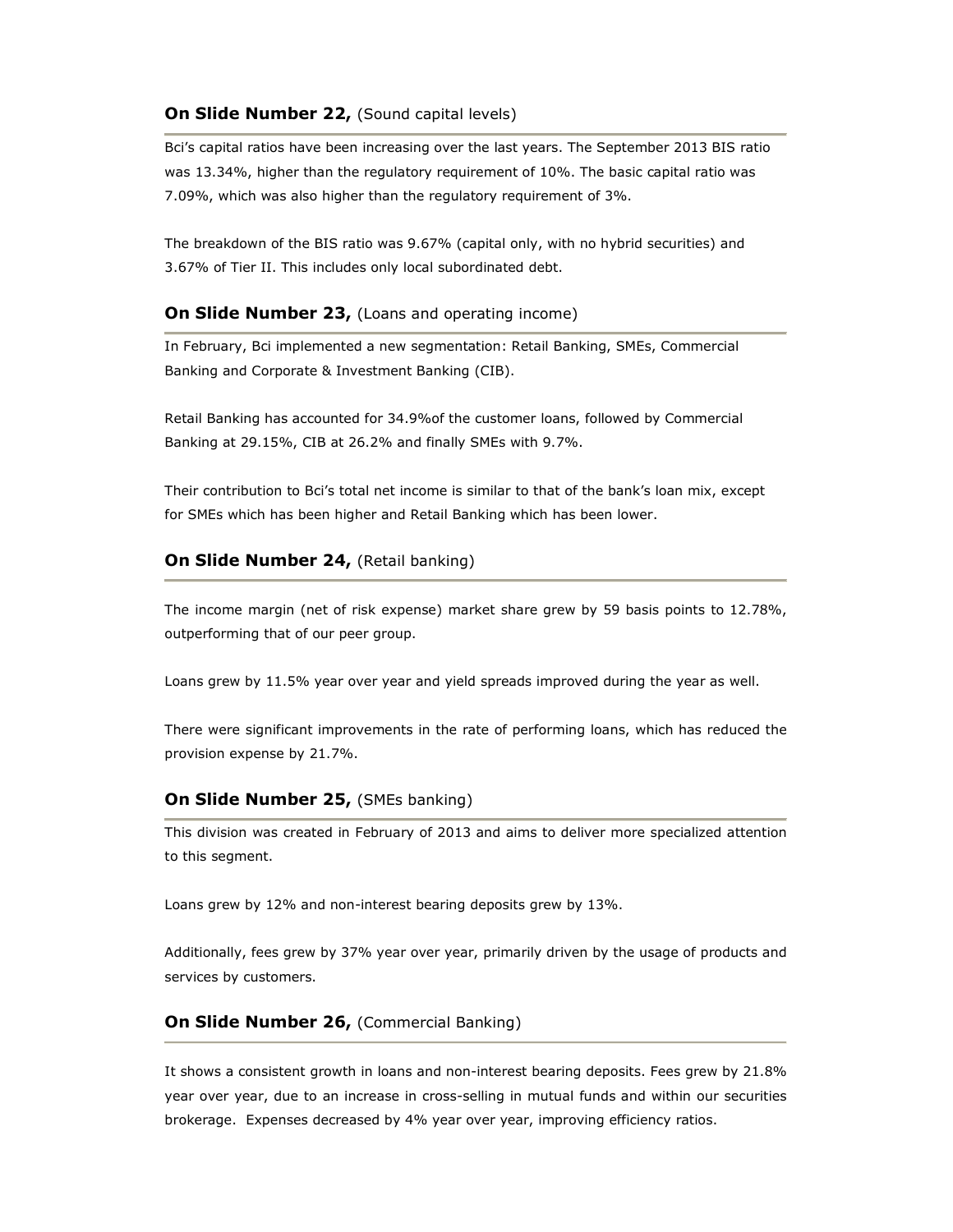## **On Slide Number 22, (Sound capital levels)**

Bci's capital ratios have been increasing over the last years. The September 2013 BIS ratio was 13.34%, higher than the regulatory requirement of 10%. The basic capital ratio was 7.09%, which was also higher than the regulatory requirement of 3%.

The breakdown of the BIS ratio was 9.67% (capital only, with no hybrid securities) and 3.67% of Tier II. This includes only local subordinated debt.

## **On Slide Number 23, (Loans and operating income)**

In February, Bci implemented a new segmentation: Retail Banking, SMEs, Commercial Banking and Corporate & Investment Banking (CIB).

Retail Banking has accounted for 34.9%of the customer loans, followed by Commercial Banking at 29.15%, CIB at 26.2% and finally SMEs with 9.7%.

Their contribution to Bci's total net income is similar to that of the bank's loan mix, except for SMEs which has been higher and Retail Banking which has been lower.

## **On Slide Number 24, (Retail banking)**

The income margin (net of risk expense) market share grew by 59 basis points to 12.78%, outperforming that of our peer group.

Loans grew by 11.5% year over year and yield spreads improved during the year as well.

There were significant improvements in the rate of performing loans, which has reduced the provision expense by 21.7%.

#### **On Slide Number 25, (SMEs banking)**

This division was created in February of 2013 and aims to deliver more specialized attention to this segment.

Loans grew by 12% and non-interest bearing deposits grew by 13%.

Additionally, fees grew by 37% year over year, primarily driven by the usage of products and services by customers.

## **On Slide Number 26, (Commercial Banking)**

It shows a consistent growth in loans and non-interest bearing deposits. Fees grew by 21.8% year over year, due to an increase in cross-selling in mutual funds and within our securities brokerage. Expenses decreased by 4% year over year, improving efficiency ratios.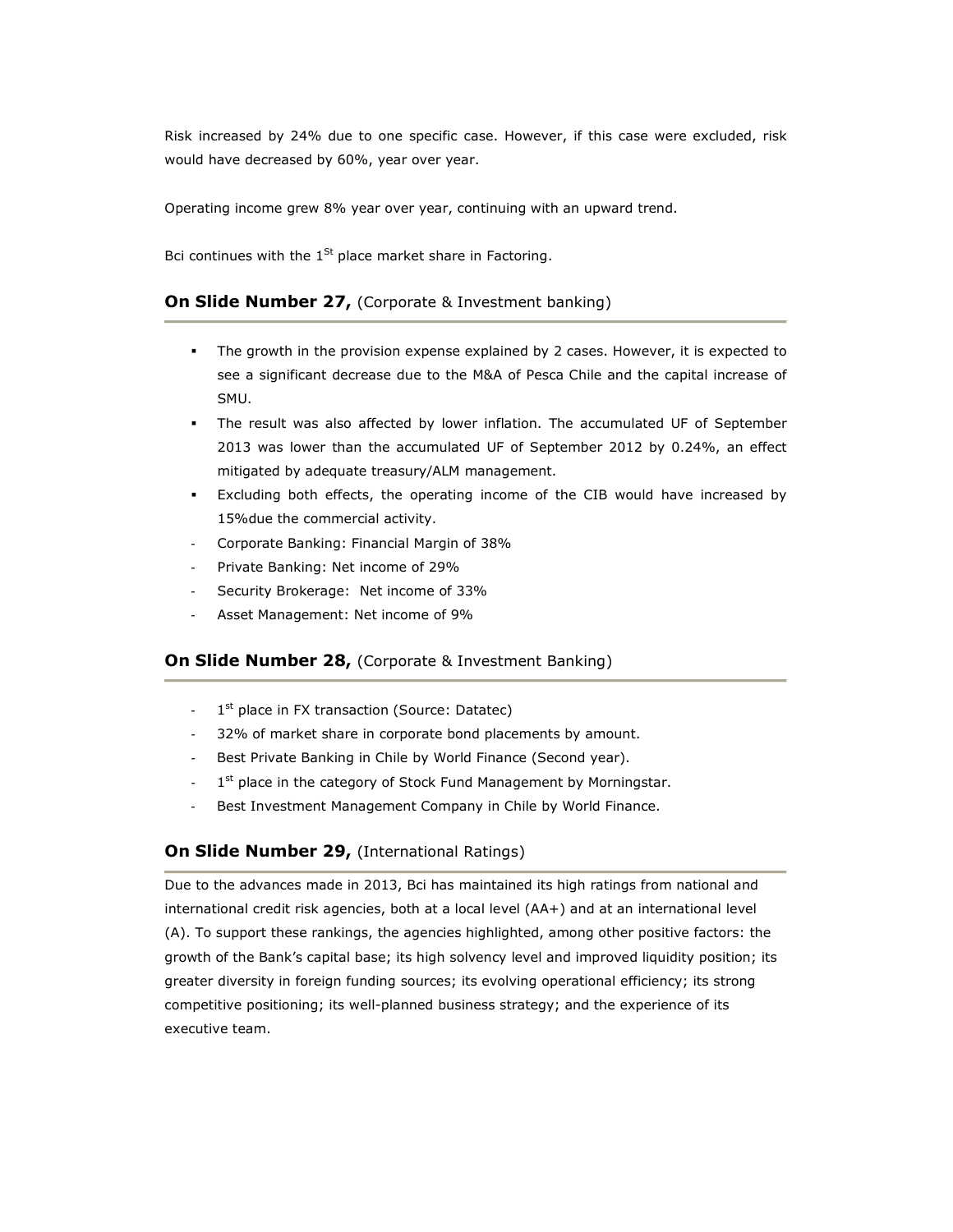Risk increased by 24% due to one specific case. However, if this case were excluded, risk would have decreased by 60%, year over year.

Operating income grew 8% year over year, continuing with an upward trend.

Bci continues with the  $1^{St}$  place market share in Factoring.

## **On Slide Number 27, (Corporate & Investment banking)**

- The growth in the provision expense explained by 2 cases. However, it is expected to see a significant decrease due to the M&A of Pesca Chile and the capital increase of SMU.
- The result was also affected by lower inflation. The accumulated UF of September 2013 was lower than the accumulated UF of September 2012 by 0.24%, an effect mitigated by adequate treasury/ALM management.
- Excluding both effects, the operating income of the CIB would have increased by 15%due the commercial activity.
- Corporate Banking: Financial Margin of 38%
- Private Banking: Net income of 29%
- Security Brokerage: Net income of 33%
- Asset Management: Net income of 9%

## **On Slide Number 28, (Corporate & Investment Banking)**

- 1 1<sup>st</sup> place in FX transaction (Source: Datatec)
- 32% of market share in corporate bond placements by amount.
- Best Private Banking in Chile by World Finance (Second year).
- $1<sup>st</sup>$  place in the category of Stock Fund Management by Morningstar.
- Best Investment Management Company in Chile by World Finance.

## **On Slide Number 29, (International Ratings)**

Due to the advances made in 2013, Bci has maintained its high ratings from national and international credit risk agencies, both at a local level (AA+) and at an international level (A). To support these rankings, the agencies highlighted, among other positive factors: the growth of the Bank's capital base; its high solvency level and improved liquidity position; its greater diversity in foreign funding sources; its evolving operational efficiency; its strong competitive positioning; its well-planned business strategy; and the experience of its executive team.